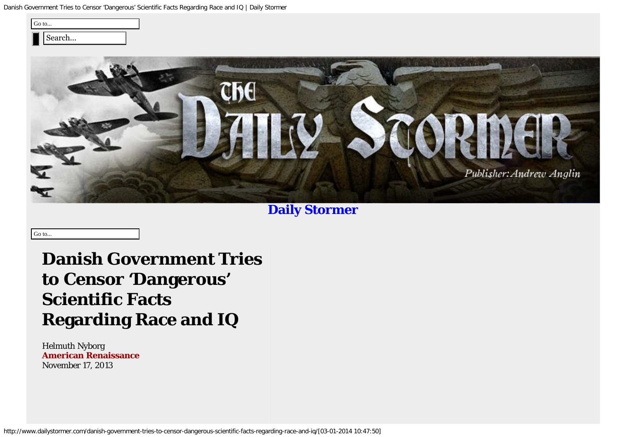| Go to |       |  |
|-------|-------|--|
|       | earch |  |



# **[Daily Stormer](http://www.dailystormer.com/)**

**Danish Government Tries to Censor 'Dangerous' Scientific Facts Regarding Race and IQ**

Helmuth Nyborg **[American Renaissance](http://www.amren.com/news/2013/11/danish-government-tries-to-censor-science-it-doesnt-like/)** November 17, 2013

Go to...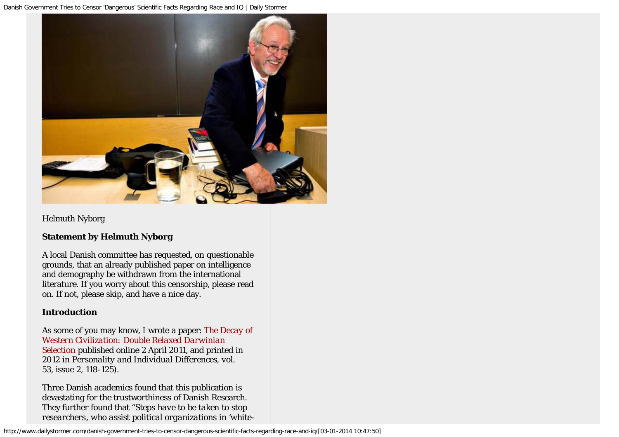

Helmuth Nyborg

### **Statement by Helmuth Nyborg**

A local Danish committee has requested, on questionable grounds, that an already published paper on intelligence and demography be withdrawn from the international literature. If you worry about this censorship, please read on. If not, please skip, and have a nice day.

### **Introduction**

As some of you may know, I wrote a paper: *[The Decay of](https://lesacreduprintemps19.files.wordpress.com/2011/04/nyborg-2011-the-decay-of-western-civilization-double-relaxed-darwinian-selection.pdf) [Western Civilization: Double Relaxed Darwinian](https://lesacreduprintemps19.files.wordpress.com/2011/04/nyborg-2011-the-decay-of-western-civilization-double-relaxed-darwinian-selection.pdf) [Selection](https://lesacreduprintemps19.files.wordpress.com/2011/04/nyborg-2011-the-decay-of-western-civilization-double-relaxed-darwinian-selection.pdf)* published online 2 April 2011, and printed in 2012 in *Personality and Individual Differences, vol. 53,* issue 2, 118-125).

Three Danish academics found that this publication is devastating for the trustworthiness of Danish Research. They further found that "*Steps have to be taken to stop researchers*, *who assist political organizations in 'white-*

http://www.dailystormer.com/danish-government-tries-to-censor-dangerous-scientific-facts-regarding-race-and-iq/[03-01-2014 10:47:50]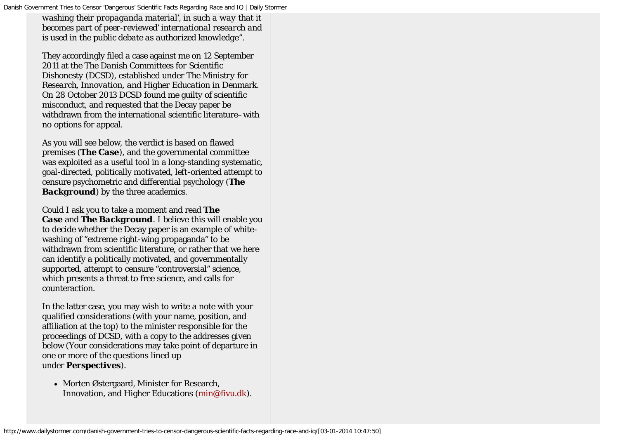*washing their propaganda material', in such a way that it becomes part of peer-reviewed' international research and is used in the public debate as authorized knowledge*".

They accordingly filed a case against me on 12 September 2011 at the *The Danish Committees for Scientific Dishonesty* (DCSD), established under *The Ministry for Research, Innovation, and Higher Education* in Denmark. On 28 October 2013 DCSD found me guilty of scientific misconduct, and requested that the Decay paper be withdrawn from the international scientific literature–with no options for appeal.

As you will see below, the verdict is based on flawed premises (*The Case*), and the governmental committee was exploited as a useful tool in a long-standing systematic, goal-directed, politically motivated, left-oriented attempt to censure psychometric and differential psychology (*The Background*) by the three academics.

Could I ask you to take a moment and read *The Case* and *The Background*. I believe this will enable you to decide whether the Decay paper is an example of whitewashing of "extreme right-wing propaganda" to be withdrawn from scientific literature, or rather that we here can identify a politically motivated, and governmentally supported, attempt to censure "controversial" science, which presents a threat to free science, and calls for counteraction.

In the latter case, you may wish to write a note with your qualified considerations (with your name, position, and affiliation at the top) to the minister responsible for the proceedings of DCSD, with a copy to the addresses given below (Your considerations may take point of departure in one or more of the questions lined up under *Perspectives*).

• Morten Østergaard, Minister for Research, Innovation, and Higher Educations ([min@fivu.dk](mailto:min@fivu.dk)).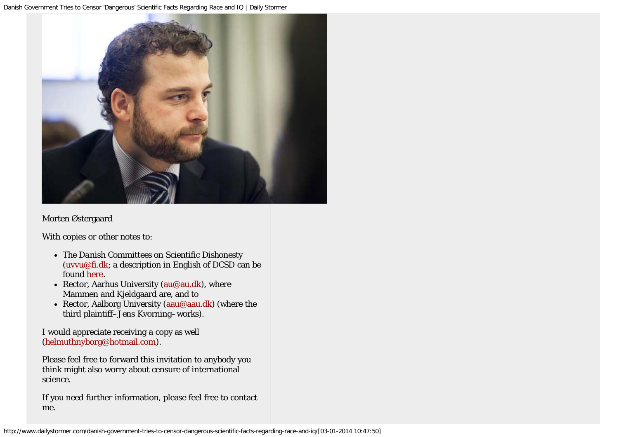

#### Morten Østergaard

With copies or other notes to:

- *The Danish Committees on Scientific Dishonesty* ([uvvu@fi.dk;](mailto:uvvu@fi.dk) a description in English of DCSD can be found [here.](http://fivu.dk/en/research-and-innovation/councils-and-commissions/the-danish-committees-on-scientific-dishonesty/the-danish-committees-on-scientific-dishonesty)
- Rector, Aarhus University ([au@au.dk\)](mailto:au@au.dk), where Mammen and Kjeldgaard are, and to
- Rector, Aalborg University [\(aau@aau.dk](mailto:aau@aau.dk)) (where the third plaintiff–Jens Kvorning–works).

I would appreciate receiving a copy as well [\(helmuthnyborg@hotmail.com\)](mailto:helmuthnyborg@hotmail.com).

Please feel free to forward this invitation to anybody you think might also worry about censure of international science.

If you need further information, please feel free to contact me.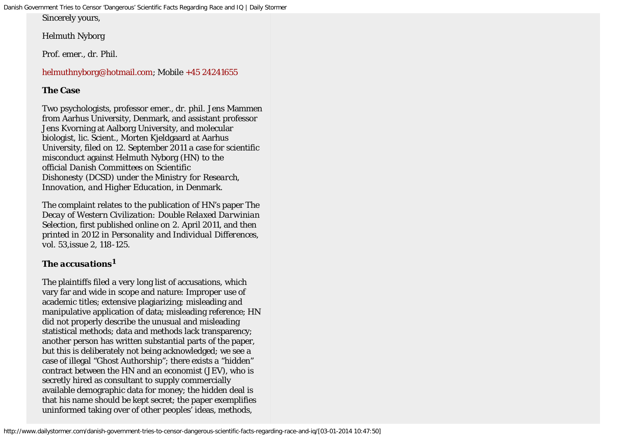Sincerely yours,

Helmuth Nyborg

Prof. emer., dr. Phil.

## [helmuthnyborg@hotmail.com;](mailto:helmuthnyborg@hotmail.com) Mobile [+45 24241655](tel:%2B45%2024241655)

## **The Case**

Two psychologists, professor emer., dr. phil. Jens Mammen from Aarhus University, Denmark, and assistant professor Jens Kvorning at Aalborg University, and molecular biologist, lic. Scient., Morten Kjeldgaard at Aarhus University, filed on 12. September 2011 a case for scientific misconduct against Helmuth Nyborg (HN) to the official *Danish Committees on Scientific Dishonesty* (DCSD) under the *Ministry for Research, Innovation, and Higher Education*, in Denmark.

The complaint relates to the publication of HN's paper *The Decay of Western Civilization: Double Relaxed Darwinian Selection,* first published online on 2. April 2011, and then printed in 2012 in *Personality and Individual Differences, vol. 53,*issue 2, 118-125.

## *The accusations<sup>1</sup>*

The plaintiffs filed a very long list of accusations, which vary far and wide in scope and nature: Improper use of academic titles; extensive plagiarizing; misleading and manipulative application of data; misleading reference; HN did not properly describe the unusual and misleading statistical methods; data and methods lack transparency; another person has written substantial parts of the paper, but this is deliberately not being acknowledged; we see a case of illegal "Ghost Authorship"; there exists a "hidden" contract between the HN and an economist (JEV), who is secretly hired as consultant to supply commercially available demographic data for money; the hidden deal is that his name should be kept secret; the paper exemplifies uninformed taking over of other peoples' ideas, methods,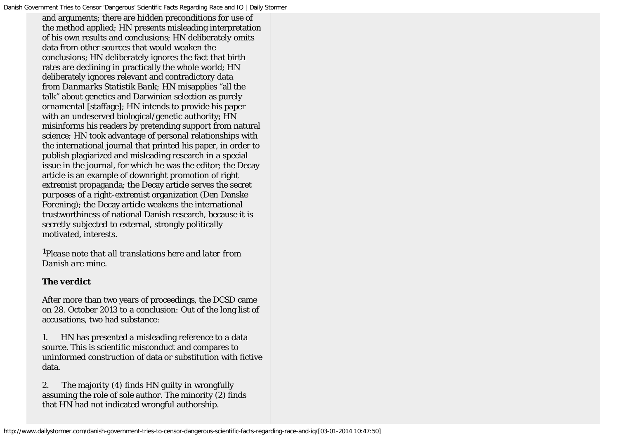and arguments; there are hidden preconditions for use of the method applied; HN presents misleading interpretation of his own results and conclusions; HN deliberately omits data from other sources that would weaken the conclusions; HN deliberately ignores the fact that birth rates are declining in practically the whole world; HN deliberately ignores relevant and contradictory data from *Danmarks Statistik Bank;* HN misapplies "all the talk" about genetics and Darwinian selection as purely ornamental [staffage]; HN intends to provide his paper with an undeserved biological/genetic authority; HN misinforms his readers by pretending support from natural science; HN took advantage of personal relationships with the international journal that printed his paper, in order to publish plagiarized and misleading research in a special issue in the journal, for which he was the editor; the Decay article is an example of downright promotion of right extremist propaganda; the Decay article serves the secret purposes of a right-extremist organization (Den Danske Forening); the Decay article weakens the international trustworthiness of national Danish research, because it is secretly subjected to external, strongly politically motivated, interests.

*<sup>1</sup>Please note that all translations here and later from Danish are mine*.

#### *The verdict*

After more than two years of proceedings, the DCSD came on 28. October 2013 to a conclusion: Out of the long list of accusations, two had substance:

1. HN has presented a misleading reference to a data source. This is scientific misconduct and compares to uninformed construction of data or substitution with fictive data.

2. The majority (4) finds HN guilty in wrongfully assuming the role of sole author. The minority (2) finds that HN had not indicated wrongful authorship.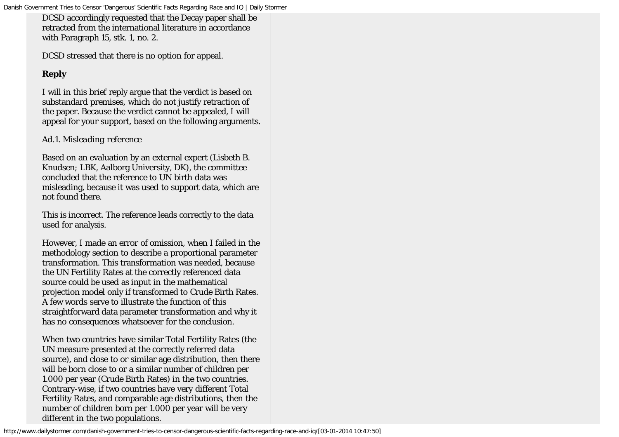DCSD accordingly requested that the Decay paper shall be retracted from the international literature in accordance with Paragraph 15, stk. 1, no. 2.

DCSD stressed that there is no option for appeal.

## *Reply*

I will in this brief reply argue that the verdict is based on substandard premises, which do not justify retraction of the paper. Because the verdict cannot be appealed, I will appeal for your support, based on the following arguments.

### *Ad.1. Misleading reference*

Based on an evaluation by an external expert (Lisbeth B. Knudsen; LBK, Aalborg University, DK), the committee concluded that the reference to UN birth data was misleading, because it was used to support data, which are not found there.

This is incorrect. The reference leads correctly to the data used for analysis.

However, I made an error of omission, when I failed in the methodology section to describe a proportional parameter transformation. This transformation was needed, because the UN Fertility Rates at the correctly referenced data source could be used as input in the mathematical projection model only if transformed to Crude Birth Rates. A few words serve to illustrate the function of this straightforward data parameter transformation and why it has no consequences whatsoever for the conclusion.

When two countries have similar Total Fertility Rates (the UN measure presented at the correctly referred data source), and close to or similar age distribution, then there will be born close to or a similar number of children per 1.000 per year (Crude Birth Rates) in the two countries. Contrary-wise, if two countries have very different Total Fertility Rates, and comparable age distributions, then the number of children born per 1.000 per year will be very different in the two populations.

http://www.dailystormer.com/danish-government-tries-to-censor-dangerous-scientific-facts-regarding-race-and-iq/[03-01-2014 10:47:50]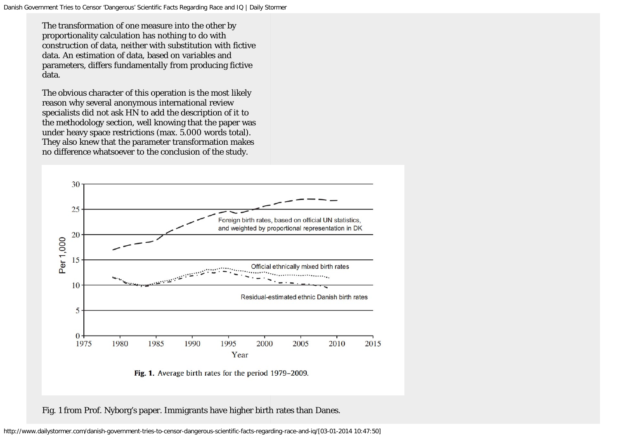The transformation of one measure into the other by proportionality calculation has nothing to do with construction of data, neither with substitution with fictive data. An estimation of data, based on variables and parameters, differs fundamentally from producing fictive data.

The obvious character of this operation is the most likely reason why several anonymous international review specialists did not ask HN to add the description of it to the methodology section, well knowing that the paper was under heavy space restrictions (max. 5.000 words total). They also knew that the parameter transformation makes no difference whatsoever to the conclusion of the study.



Fig. 1 from Prof. Nyborg's paper. Immigrants have higher birth rates than Danes.

http://www.dailystormer.com/danish-government-tries-to-censor-dangerous-scientific-facts-regarding-race-and-iq/[03-01-2014 10:47:50]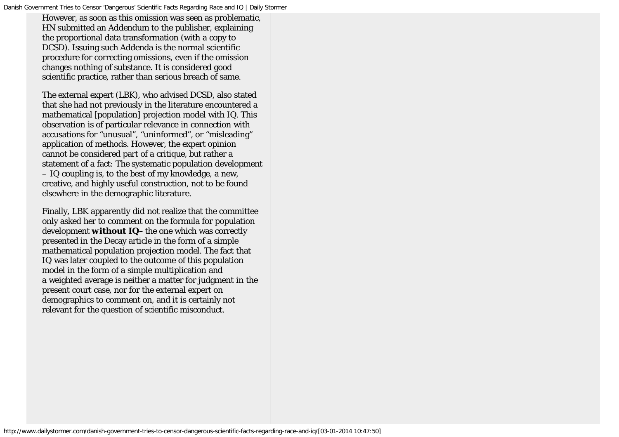However, as soon as this omission was seen as problematic, HN submitted an Addendum to the publisher, explaining the proportional data transformation (with a copy to DCSD). Issuing such Addenda is the normal scientific procedure for correcting omissions, even if the omission changes nothing of substance. It is considered good scientific practice, rather than serious breach of same.

The external expert (LBK), who advised DCSD, also stated that she had not previously in the literature encountered a mathematical [population] projection model with IQ. This observation is of particular relevance in connection with accusations for "unusual", "uninformed", or "misleading" application of methods. However, the expert opinion cannot be considered part of a critique, but rather a statement of a fact: The systematic population development – IQ coupling is, to the best of my knowledge, a new, creative, and highly useful construction, not to be found elsewhere in the demographic literature.

Finally, LBK apparently did not realize that the committee only asked her to comment on the formula for population development *without IQ–*the one which was correctly presented in the Decay article in the form of a simple mathematical population projection model. The fact that IQ was later coupled to the outcome of this population model in the form of a simple multiplication and a weighted average is neither a matter for judgment in the present court case, nor for the external expert on demographics to comment on, and it is certainly not relevant for the question of scientific misconduct.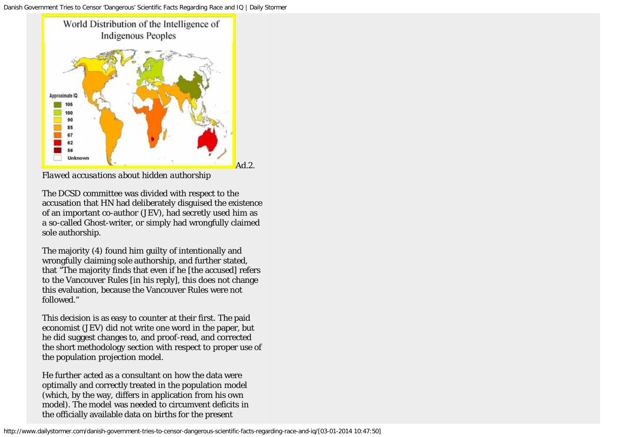

*Flawed accusations about hidden authorship*

The DCSD committee was divided with respect to the accusation that HN had deliberately disguised the existence of an important co-author (JEV), had secretly used him as a so-called Ghost-writer, or simply had wrongfully claimed sole authorship.

The majority (4) found him guilty of intentionally and wrongfully claiming sole authorship, and further stated, that "The majority finds that even if he [the accused] refers to the Vancouver Rules [in his reply], this does not change this evaluation, because the Vancouver Rules were not followed."

This decision is as easy to counter at their first. The paid economist (JEV) did not write one word in the paper, but he did suggest changes to, and proof-read, and corrected the short methodology section with respect to proper use of the population projection model.

He further acted as a consultant on how the data were optimally and correctly treated in the population model (which, by the way, differs in application from his own model). The model was needed to circumvent deficits in the officially available data on births for the present

http://www.dailystormer.com/danish-government-tries-to-censor-dangerous-scientific-facts-regarding-race-and-iq/[03-01-2014 10:47:50]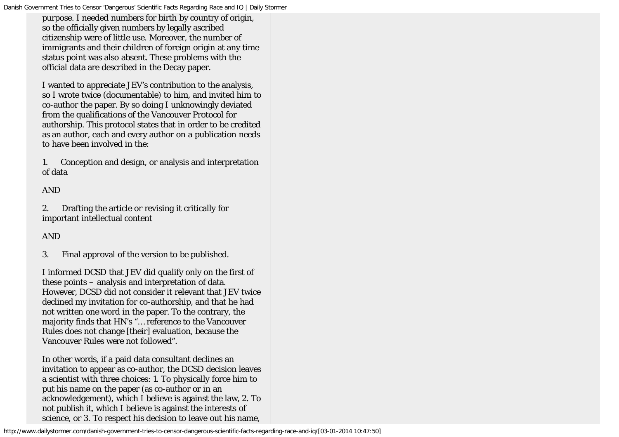purpose. I needed numbers for birth by country of origin, so the officially given numbers by legally ascribed citizenship were of little use. Moreover, the number of immigrants and their children of foreign origin at any time status point was also absent. These problems with the official data are described in the Decay paper.

I wanted to appreciate JEV's contribution to the analysis, so I wrote twice (documentable) to him, and invited him to co-author the paper. By so doing I unknowingly deviated from the qualifications of the Vancouver Protocol for authorship. This protocol states that in order to be credited as an author, each and every author on a publication needs to have been involved in the:

1. Conception and design, or analysis and interpretation of data

AND

2. Drafting the article or revising it critically for important intellectual content

AND

3. Final approval of the version to be published.

I informed DCSD that JEV did qualify only on the first of these points – analysis and interpretation of data. However, DCSD did not consider it relevant that JEV twice declined my invitation for co-authorship, and that he had not written one word in the paper. To the contrary, the majority finds that HN's "… reference to the Vancouver Rules does not change [their] evaluation, because the Vancouver Rules were not followed".

In other words, if a paid data consultant declines an invitation to appear as co-author, the DCSD decision leaves a scientist with three choices: 1. To physically force him to put his name on the paper (as co-author or in an acknowledgement), which I believe is against the law, 2. To not publish it, which I believe is against the interests of science, or 3. To respect his decision to leave out his name,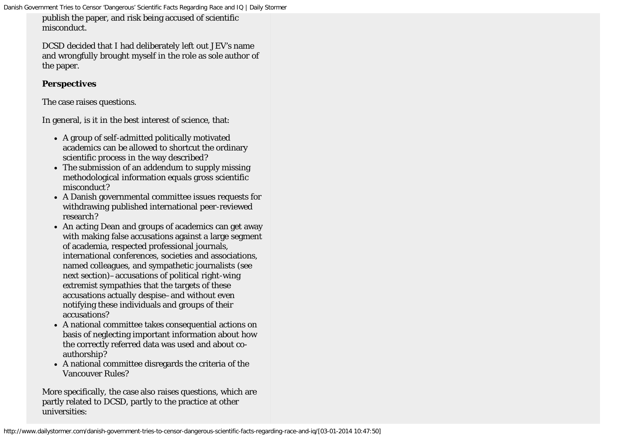publish the paper, and risk being accused of scientific misconduct.

DCSD decided that I had deliberately left out JEV's name and wrongfully brought myself in the role as sole author of the paper.

### *Perspectives*

The case raises questions.

In general, is it in the best interest of science, that:

- A group of self-admitted politically motivated academics can be allowed to shortcut the ordinary scientific process in the way described?
- The submission of an addendum to supply missing methodological information equals gross scientific misconduct?
- A Danish governmental committee issues requests for withdrawing published international peer-reviewed research?
- An acting Dean and groups of academics can get away with making false accusations against a large segment of academia, respected professional journals, international conferences, societies and associations, named colleagues, and sympathetic journalists (see next section)–accusations of political right-wing extremist sympathies that the targets of these accusations actually despise–and without even notifying these individuals and groups of their accusations?
- A national committee takes consequential actions on basis of neglecting important information about how the correctly referred data was used and about coauthorship?
- A national committee disregards the criteria of the Vancouver Rules?

More specifically, the case also raises questions, which are partly related to DCSD, partly to the practice at other universities: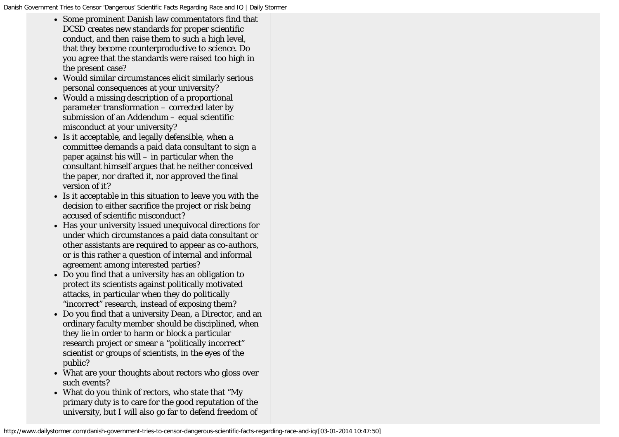- Some prominent Danish law commentators find that DCSD creates new standards for proper scientific conduct, and then raise them to such a high level, that they become counterproductive to science. Do you agree that the standards were raised too high in the present case?
- Would similar circumstances elicit similarly serious personal consequences at your university?
- Would a missing description of a proportional parameter transformation – corrected later by submission of an Addendum – equal scientific misconduct at your university?
- Is it acceptable, and legally defensible, when a committee demands a paid data consultant to sign a paper against his will – in particular when the consultant himself argues that he neither conceived the paper, nor drafted it, nor approved the final version of it?
- Is it acceptable in this situation to leave you with the decision to either sacrifice the project or risk being accused of scientific misconduct?
- Has your university issued unequivocal directions for under which circumstances a paid data consultant or other assistants are required to appear as co-authors, or is this rather a question of internal and informal agreement among interested parties?
- Do you find that a university has an obligation to protect its scientists against politically motivated attacks, in particular when they do politically "incorrect" research, instead of exposing them?
- Do you find that a university Dean, a Director, and an ordinary faculty member should be disciplined, when they lie in order to harm or block a particular research project or smear a "politically incorrect" scientist or groups of scientists, in the eyes of the public?
- What are your thoughts about rectors who gloss over such events?
- What do you think of rectors, who state that "My primary duty is to care for the good reputation of the university, but I will also go far to defend freedom of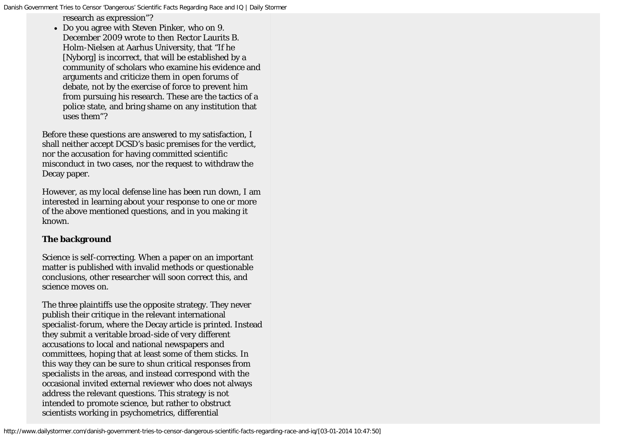research as expression"?

Do you agree with Steven Pinker, who on 9. December 2009 wrote to then Rector Laurits B. Holm-Nielsen at Aarhus University, that "If he [Nyborg] is incorrect, that will be established by a community of scholars who examine his evidence and arguments and criticize them in open forums of debate, not by the exercise of force to prevent him from pursuing his research. These are the tactics of a police state, and bring shame on any institution that uses them"?

Before these questions are answered to my satisfaction, I shall neither accept DCSD's basic premises for the verdict, nor the accusation for having committed scientific misconduct in two cases, nor the request to withdraw the Decay paper.

However, as my local defense line has been run down, I am interested in learning about your response to one or more of the above mentioned questions, and in you making it known.

#### **The background**

Science is self-correcting. When a paper on an important matter is published with invalid methods or questionable conclusions, other researcher will soon correct this, and science moves on.

The three plaintiffs use the opposite strategy. They never publish their critique in the relevant international specialist-forum, where the Decay article is printed. Instead they submit a veritable broad-side of very different accusations to local and national newspapers and committees, hoping that at least some of them sticks. In this way they can be sure to shun critical responses from specialists in the areas, and instead correspond with the occasional invited external reviewer who does not always address the relevant questions. This strategy is not intended to promote science, but rather to obstruct scientists working in psychometrics, differential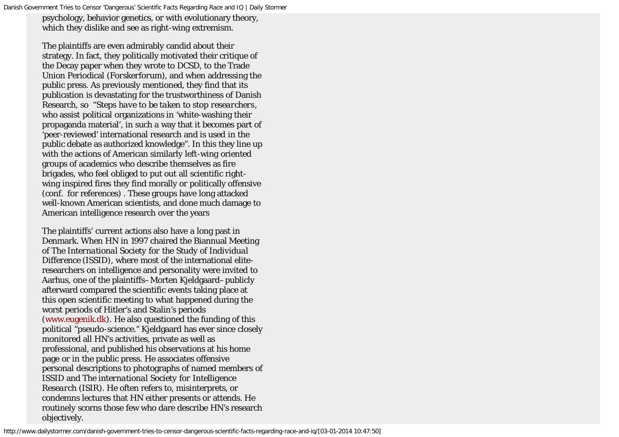psychology, behavior genetics, or with evolutionary theory, which they dislike and see as right-wing extremism.

The plaintiffs are even admirably candid about their strategy. In fact, they politically motivated their critique of the Decay paper when they wrote to DCSD, to the Trade Union Periodical (*Forskerforum),* and when addressing the public press. As previously mentioned, they find that its publication is devastating for the trustworthiness of Danish Research, so "*Steps have to be taken to stop researchers*, who assist political organizations in 'white-washing their propaganda material', in such a way that it becomes part of 'peer-reviewed' international research and is used in the public debate as authorized knowledge". In this they line up with the actions of American similarly left-wing oriented groups of academics who describe themselves as fire brigades, who feel obliged to put out all scientific rightwing inspired fires they find morally or politically offensive (conf. for references) . These groups have long attacked well-known American scientists, and done much damage to American intelligence research over the years

The plaintiffs' current actions also have a long past in Denmark. When HN in 1997 chaired the Biannual Meeting of *The International Society for the Study of Individual Difference (ISSID)*, where most of the international eliteresearchers on intelligence and personality were invited to Aarhus, one of the plaintiffs–Morten Kjeldgaard–publicly afterward compared the scientific events taking place at this open scientific meeting to what happened during the worst periods of Hitler's and Stalin's periods [\(www.eugenik.dk](http://www.eugenik.dk/)). He also questioned the funding of this political "pseudo-science." Kjeldgaard has ever since closely monitored all HN's activities, private as well as professional, and published his observations at his home page or in the public press. He associates offensive personal descriptions to photographs of named members of ISSID and *The international Society for Intelligence Research (*ISIR*)*. He often refers to, misinterprets, or condemns lectures that HN either presents or attends. He routinely scorns those few who dare describe HN's research objectively.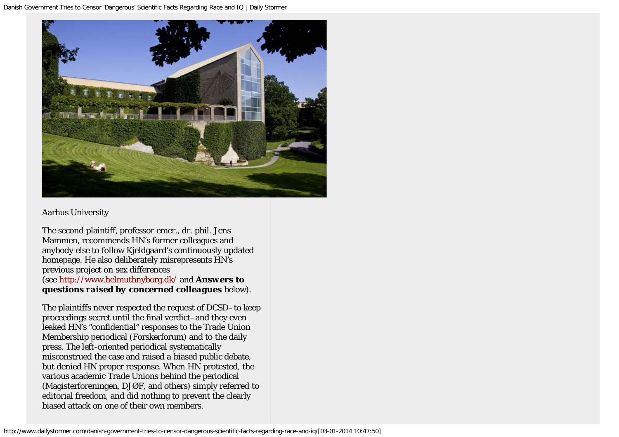

### Aarhus University

The second plaintiff, professor emer., dr. phil. Jens Mammen, recommends HN's former colleagues and anybody else to follow Kjeldgaard's continuously updated homepage. He also deliberately misrepresents HN's previous project on sex differences (see<http://www.helmuthnyborg.dk/> and *Answers to questions raised by concerned colleagues* below).

The plaintiffs never respected the request of DCSD–to keep proceedings secret until the final verdict–and they even leaked HN's "confidential" responses to the Trade Union Membership periodical (Forskerforum) and to the daily press. The left-oriented periodical systematically misconstrued the case and raised a biased public debate, but denied HN proper response. When HN protested, the various academic Trade Unions behind the periodical (Magisterforeningen, DJØF, and others) simply referred to editorial freedom, and did nothing to prevent the clearly biased attack on one of their own members.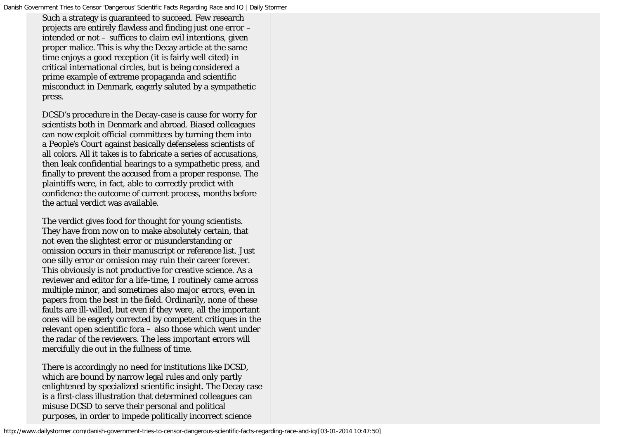Such a strategy is guaranteed to succeed. Few research projects are entirely flawless and finding just one error – intended or not – suffices to claim evil intentions, given proper malice. This is why the Decay article at the same time enjoys a good reception (it is fairly well cited) in critical international circles, but is being considered a prime example of extreme propaganda and scientific misconduct in Denmark, eagerly saluted by a sympathetic press.

DCSD's procedure in the Decay-case is cause for worry for scientists both in Denmark and abroad. Biased colleagues can now exploit official committees by turning them into a *People's Court* against basically defenseless scientists of all colors. All it takes is to fabricate a series of accusations, then leak confidential hearings to a sympathetic press, and finally to prevent the accused from a proper response. The plaintiffs were, in fact, able to correctly predict with confidence the outcome of current process, months before the actual verdict was available.

The verdict gives food for thought for young scientists. They have from now on to make absolutely certain, that not even the slightest error or misunderstanding or omission occurs in their manuscript or reference list. Just one silly error or omission may ruin their career forever. This obviously is not productive for creative science. As a reviewer and editor for a life-time, I routinely came across multiple minor, and sometimes also major errors, even in papers from the best in the field. Ordinarily, none of these faults are ill-willed, but even if they were, all the important ones will be eagerly corrected by competent critiques in the relevant open scientific fora – also those which went under the radar of the reviewers. The less important errors will mercifully die out in the fullness of time.

There is accordingly no need for institutions like DCSD, which are bound by narrow legal rules and only partly enlightened by specialized scientific insight. The Decay case is a first-class illustration that determined colleagues can misuse DCSD to serve their personal and political purposes, in order to impede politically incorrect science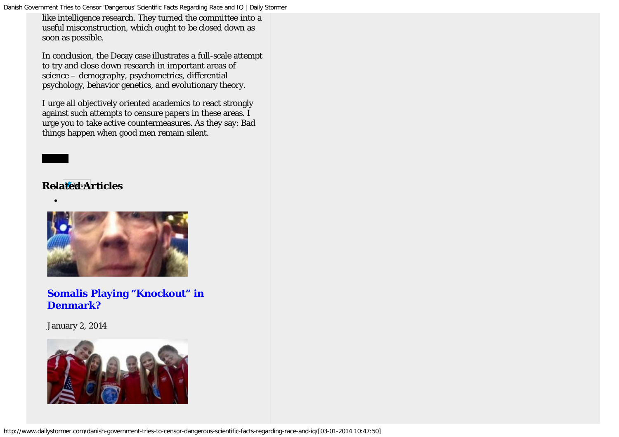like intelligence research. They turned the committee into a useful misconstruction, which ought to be closed down as soon as possible.

In conclusion, the Decay case illustrates a full-scale attempt to try and close down research in important areas of science – demography, psychometrics, differential psychology, behavior genetics, and evolutionary theory.

I urge all objectively oriented academics to react strongly against such attempts to censure papers in these areas. I urge you to take active countermeasures. As they say: Bad things happen when good men remain silent.

## $Red$ <sup>*e*</sup> $A$ *rticles*

 $\bullet$ 



## **[Somalis Playing "Knockout" in](http://www.dailystormer.com/somalis-playing-knockout-in-denmark/) [Denmark?](http://www.dailystormer.com/somalis-playing-knockout-in-denmark/)**

January 2, 2014

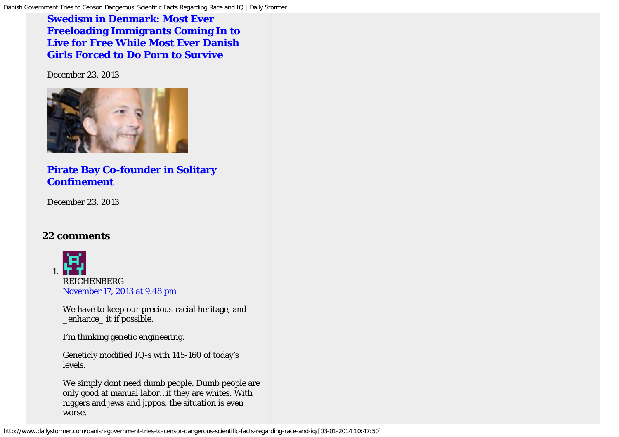## **[Swedism in Denmark: Most Ever](http://www.dailystormer.com/swedism-in-denmark-most-ever-freeloading-immigrants-coming-in-to-live-for-free-while-most-ever-danish-girls-forced-to-do-porn-to-survive/) [Freeloading Immigrants Coming In to](http://www.dailystormer.com/swedism-in-denmark-most-ever-freeloading-immigrants-coming-in-to-live-for-free-while-most-ever-danish-girls-forced-to-do-porn-to-survive/) [Live for Free While Most Ever Danish](http://www.dailystormer.com/swedism-in-denmark-most-ever-freeloading-immigrants-coming-in-to-live-for-free-while-most-ever-danish-girls-forced-to-do-porn-to-survive/) [Girls Forced to Do Porn to Survive](http://www.dailystormer.com/swedism-in-denmark-most-ever-freeloading-immigrants-coming-in-to-live-for-free-while-most-ever-danish-girls-forced-to-do-porn-to-survive/)**

December 23, 2013



## **[Pirate Bay Co-founder in Solitary](http://www.dailystormer.com/pirate-bay-co-founder-in-solitary-confinement/) [Confinement](http://www.dailystormer.com/pirate-bay-co-founder-in-solitary-confinement/)**

December 23, 2013

## **22 comments**



*REICHENBERG* [November 17, 2013 at 9:48 pm](http://www.dailystormer.com/danish-government-tries-to-censor-dangerous-scientific-facts-regarding-race-and-iq/comment-page-1/#comment-51092)

We have to keep our precious racial heritage, and \_enhance\_ it if possible.

I'm thinking genetic engineering.

```
Geneticly modified IQ-s with 145-160 of today's
levels.
```
We simply dont need dumb people. Dumb people are only good at manual labor…if they are whites. With niggers and jews and jippos, the situation is even worse.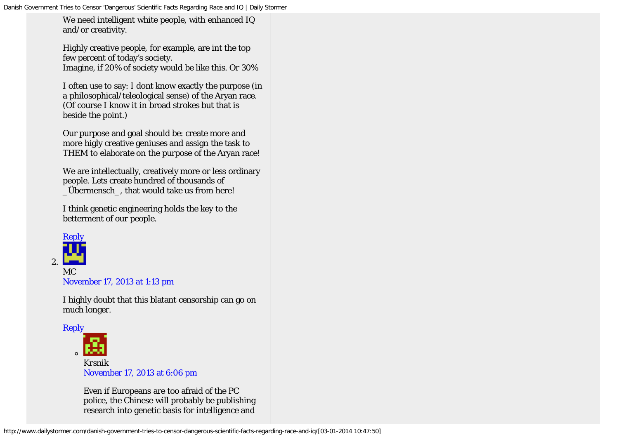We need intelligent white people, with enhanced IQ and/or creativity.

Highly creative people, for example, are int the top few percent of today's society. Imagine, if 20% of society would be like this. Or 30%

I often use to say: I dont know exactly the purpose (in a philosophical/teleological sense) of the Aryan race. (Of course I know it in broad strokes but that is beside the point.)

Our purpose and goal should be: create more and more higly creative geniuses and assign the task to THEM to elaborate on the purpose of the Aryan race!

We are intellectually, creatively more or less ordinary people. Lets create hundred of thousands of \_Übermensch\_, that would take us from here!

I think genetic engineering holds the key to the betterment of our people.



*MC* [November 17, 2013 at 1:13 pm](http://www.dailystormer.com/danish-government-tries-to-censor-dangerous-scientific-facts-regarding-race-and-iq/comment-page-1/#comment-50609)

I highly doubt that this blatant censorship can go on much longer.



Even if Europeans are too afraid of the PC police, the Chinese will probably be publishing research into genetic basis for intelligence and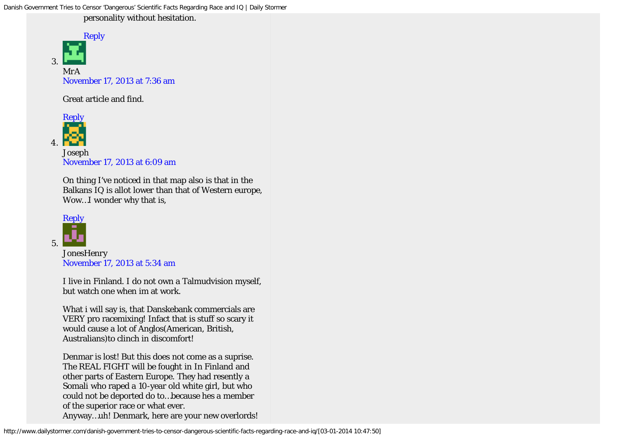personality without hesitation.



*MrA* [November 17, 2013 at 7:36 am](http://www.dailystormer.com/danish-government-tries-to-censor-dangerous-scientific-facts-regarding-race-and-iq/comment-page-1/#comment-50334)

Great article and find.



*Joseph* [November 17, 2013 at 6:09 am](http://www.dailystormer.com/danish-government-tries-to-censor-dangerous-scientific-facts-regarding-race-and-iq/comment-page-1/#comment-50247)

On thing I've noticed in that map also is that in the Balkans IQ is allot lower than that of Western europe, Wow…I wonder why that is,



*JonesHenry* [November 17, 2013 at 5:34 am](http://www.dailystormer.com/danish-government-tries-to-censor-dangerous-scientific-facts-regarding-race-and-iq/comment-page-1/#comment-50209)

I live in Finland. I do not own a Talmudvision myself, but watch one when im at work.

What i will say is, that Danskebank commercials are VERY pro racemixing! Infact that is stuff so scary it would cause a lot of Anglos(American, British, Australians)to clinch in discomfort!

Denmar is lost! But this does not come as a suprise. The REAL FIGHT will be fought in In Finland and other parts of Eastern Europe. They had resently a Somali who raped a 10-year old white girl, but who could not be deported do to…because hes a member of the superior race or what ever. Anyway…uh! Denmark, here are your new overlords!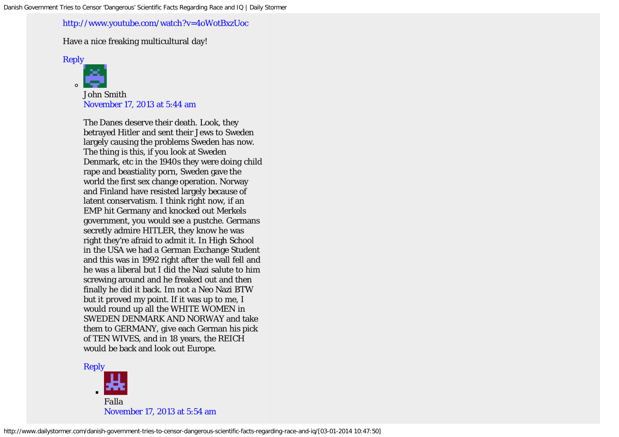#### <http://www.youtube.com/watch?v=4oWotBxzUoc>

Have a nice freaking multicultural day!

[Reply](http://www.dailystormer.com/danish-government-tries-to-censor-dangerous-scientific-facts-regarding-race-and-iq/?replytocom=50209#respond)



*John Smith* [November 17, 2013 at 5:44 am](http://www.dailystormer.com/danish-government-tries-to-censor-dangerous-scientific-facts-regarding-race-and-iq/comment-page-1/#comment-50222)

The Danes deserve their death. Look, they betrayed Hitler and sent their Jews to Sweden largely causing the problems Sweden has now. The thing is this, if you look at Sweden Denmark, etc in the 1940s they were doing child rape and beastiality porn, Sweden gave the world the first sex change operation. Norway and Finland have resisted largely because of latent conservatism. I think right now, if an EMP hit Germany and knocked out Merkels government, you would see a pustche. Germans secretly admire HITLER, they know he was right they're afraid to admit it. In High School in the USA we had a German Exchange Student and this was in 1992 right after the wall fell and he was a liberal but I did the Nazi salute to him screwing around and he freaked out and then finally he did it back. Im not a Neo Nazi BTW but it proved my point. If it was up to me, I would round up all the WHITE WOMEN in SWEDEN DENMARK AND NORWAY and take them to GERMANY, give each German his pick of TEN WIVES, and in 18 years, the REICH would be back and look out Europe.

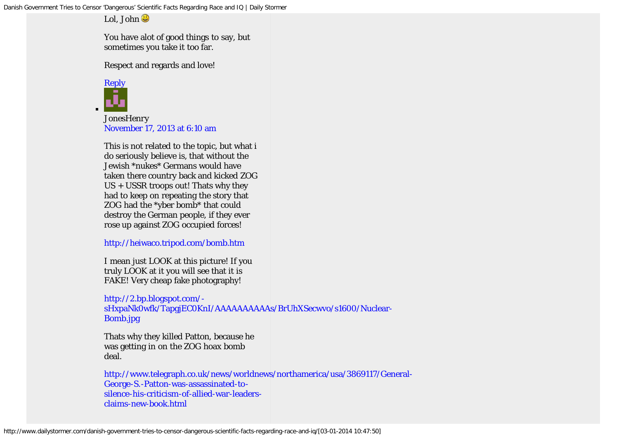Lol, John

You have alot of good things to say, but sometimes you take it too far.

Respect and regards and love!



*JonesHenry* [November 17, 2013 at 6:10 am](http://www.dailystormer.com/danish-government-tries-to-censor-dangerous-scientific-facts-regarding-race-and-iq/comment-page-1/#comment-50248)

This is not related to the topic, but what i do seriously believe is, that without the Jewish \*nukes\* Germans would have taken there country back and kicked ZOG US + USSR troops out! Thats why they had to keep on repeating the story that ZOG had the \*yber bomb\* that could destroy the German people, if they ever rose up against ZOG occupied forces!

<http://heiwaco.tripod.com/bomb.htm>

I mean just LOOK at this picture! If you truly LOOK at it you will see that it is FAKE! Very cheap fake photography!

[http://2.bp.blogspot.com/-](http://2.bp.blogspot.com/-sHxpaNk0wfk/TapgjEC0KnI/AAAAAAAAAAs/BrUhXSecwvo/s1600/Nuclear-Bomb.jpg)

[sHxpaNk0wfk/TapgjEC0KnI/AAAAAAAAAAs/BrUhXSecwvo/s1600/Nuclear-](http://2.bp.blogspot.com/-sHxpaNk0wfk/TapgjEC0KnI/AAAAAAAAAAs/BrUhXSecwvo/s1600/Nuclear-Bomb.jpg)[Bomb.jpg](http://2.bp.blogspot.com/-sHxpaNk0wfk/TapgjEC0KnI/AAAAAAAAAAs/BrUhXSecwvo/s1600/Nuclear-Bomb.jpg)

Thats why they killed Patton, because he was getting in on the ZOG hoax bomb deal.

[http://www.telegraph.co.uk/news/worldnews/northamerica/usa/3869117/General-](http://www.telegraph.co.uk/news/worldnews/northamerica/usa/3869117/General-George-S.-Patton-was-assassinated-to-silence-his-criticism-of-allied-war-leaders-claims-new-book.html)[George-S.-Patton-was-assassinated-to](http://www.telegraph.co.uk/news/worldnews/northamerica/usa/3869117/General-George-S.-Patton-was-assassinated-to-silence-his-criticism-of-allied-war-leaders-claims-new-book.html)[silence-his-criticism-of-allied-war-leaders](http://www.telegraph.co.uk/news/worldnews/northamerica/usa/3869117/General-George-S.-Patton-was-assassinated-to-silence-his-criticism-of-allied-war-leaders-claims-new-book.html)[claims-new-book.html](http://www.telegraph.co.uk/news/worldnews/northamerica/usa/3869117/General-George-S.-Patton-was-assassinated-to-silence-his-criticism-of-allied-war-leaders-claims-new-book.html)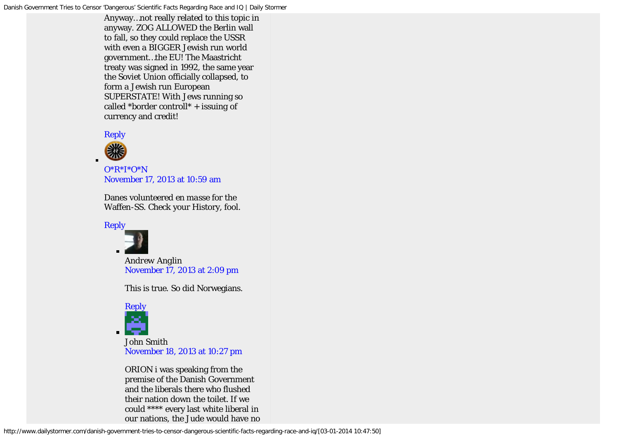Anyway…not really related to this topic in anyway. ZOG ALLOWED the Berlin wall to fall, so they could replace the USSR with even a BIGGER Jewish run world government…the EU! The Maastricht treaty was signed in 1992, the same year the Soviet Union officially collapsed, to form a Jewish run European SUPERSTATE! With Jews running so called \*border controll\*  $+$  issuing of currency and credit!





*[O\\*R\\*I\\*O\\*N](http://www.youtube.com/user/AngelAngel14182888?feature=watch)* [November 17, 2013 at 10:59 am](http://www.dailystormer.com/danish-government-tries-to-censor-dangerous-scientific-facts-regarding-race-and-iq/comment-page-1/#comment-50500)

Danes volunteered *en masse* for the Waffen-SS. Check your History, fool.



*Andrew Anglin* [November 17, 2013 at 2:09 pm](http://www.dailystormer.com/danish-government-tries-to-censor-dangerous-scientific-facts-regarding-race-and-iq/comment-page-1/#comment-50677)

This is true. So did Norwegians.



*John Smith* [November 18, 2013 at 10:27 pm](http://www.dailystormer.com/danish-government-tries-to-censor-dangerous-scientific-facts-regarding-race-and-iq/comment-page-1/#comment-52600)

ORION i was speaking from the premise of the Danish Government and the liberals there who flushed their nation down the toilet. If we could \*\*\*\* every last white liberal in our nations, the Jude would have no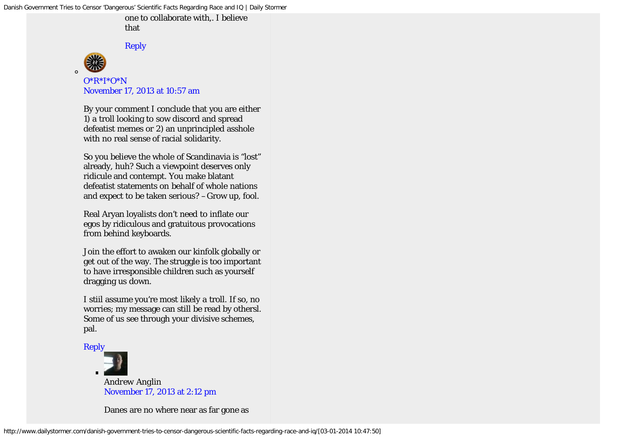one to collaborate with,. I believe that

[Reply](http://www.dailystormer.com/danish-government-tries-to-censor-dangerous-scientific-facts-regarding-race-and-iq/?replytocom=52600#respond)



*[O\\*R\\*I\\*O\\*N](http://www.youtube.com/user/AngelAngel14182888?feature=watch)* [November 17, 2013 at 10:57 am](http://www.dailystormer.com/danish-government-tries-to-censor-dangerous-scientific-facts-regarding-race-and-iq/comment-page-1/#comment-50499)

By your comment I conclude that you are either *1)* a troll looking to sow discord and spread defeatist memes or *2)* an unprincipled asshole with no real sense of racial solidarity.

So you believe the whole of Scandinavia is "lost" already, huh? Such a viewpoint deserves only ridicule and contempt. You make blatant defeatist statements on behalf of whole nations and expect to be taken serious? –Grow up, fool.

Real Aryan loyalists don't need to inflate our egos by ridiculous and gratuitous provocations from behind keyboards.

Join the effort to awaken our kinfolk globally or get out of the way. The struggle is too important to have irresponsible children such as yourself dragging us down.

I stiil assume you're most likely a troll. If so, no worries; my message can still be read by othersl. Some of us see through your divisive schemes, pal.





*Andrew Anglin* [November 17, 2013 at 2:12 pm](http://www.dailystormer.com/danish-government-tries-to-censor-dangerous-scientific-facts-regarding-race-and-iq/comment-page-1/#comment-50679)

Danes are no where near as far gone as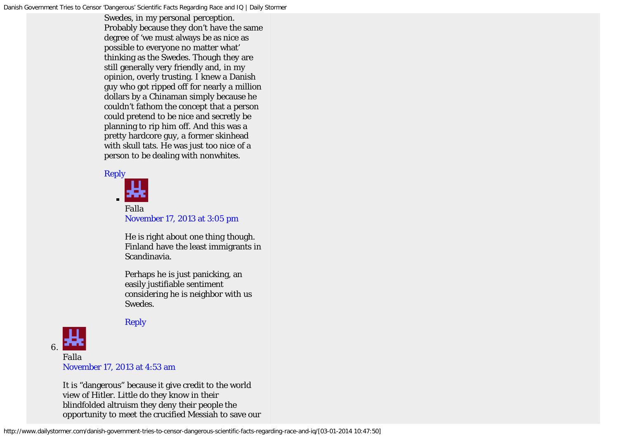Swedes, in my personal perception. Probably because they don't have the same degree of 'we must always be as nice as possible to everyone no matter what' thinking as the Swedes. Though they are still generally very friendly and, in my opinion, overly trusting. I knew a Danish guy who got ripped off for nearly a million dollars by a Chinaman simply because he couldn't fathom the concept that a person could pretend to be nice and secretly be planning to rip him off. And this was a pretty hardcore guy, a former skinhead with skull tats. He was just too nice of a person to be dealing with nonwhites.



*Falla* [November 17, 2013 at 3:05 pm](http://www.dailystormer.com/danish-government-tries-to-censor-dangerous-scientific-facts-regarding-race-and-iq/comment-page-1/#comment-50737)

He is right about one thing though. Finland have the least immigrants in Scandinavia.

Perhaps he is just panicking, an easily justifiable sentiment considering he is neighbor with us Swedes.



## [Reply](http://www.dailystormer.com/danish-government-tries-to-censor-dangerous-scientific-facts-regarding-race-and-iq/?replytocom=50737#respond)

[November 17, 2013 at 4:53 am](http://www.dailystormer.com/danish-government-tries-to-censor-dangerous-scientific-facts-regarding-race-and-iq/comment-page-1/#comment-50169)

It is "dangerous" because it give credit to the world view of Hitler. Little do they know in their blindfolded altruism they deny their people the opportunity to meet the crucified Messiah to save our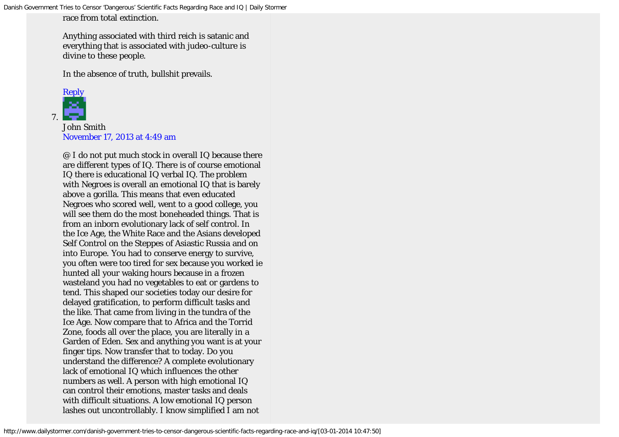race from total extinction.

Anything associated with third reich is satanic and everything that is associated with judeo-culture is divine to these people.

In the absence of truth, bullshit prevails.



*John Smith* [November 17, 2013 at 4:49 am](http://www.dailystormer.com/danish-government-tries-to-censor-dangerous-scientific-facts-regarding-race-and-iq/comment-page-1/#comment-50166)

@ I do not put much stock in overall IQ because there are different types of IQ. There is of course emotional IQ there is educational IQ verbal IQ. The problem with Negroes is overall an emotional IQ that is barely above a gorilla. This means that even educated Negroes who scored well, went to a good college, you will see them do the most boneheaded things. That is from an inborn evolutionary lack of self control. In the Ice Age, the White Race and the Asians developed Self Control on the Steppes of Asiastic Russia and on into Europe. You had to conserve energy to survive, you often were too tired for sex because you worked ie hunted all your waking hours because in a frozen wasteland you had no vegetables to eat or gardens to tend. This shaped our societies today our desire for delayed gratification, to perform difficult tasks and the like. That came from living in the tundra of the Ice Age. Now compare that to Africa and the Torrid Zone, foods all over the place, you are literally in a Garden of Eden. Sex and anything you want is at your finger tips. Now transfer that to today. Do you understand the difference? A complete evolutionary lack of emotional IQ which influences the other numbers as well. A person with high emotional IQ can control their emotions, master tasks and deals with difficult situations. A low emotional IQ person lashes out uncontrollably. I know simplified I am not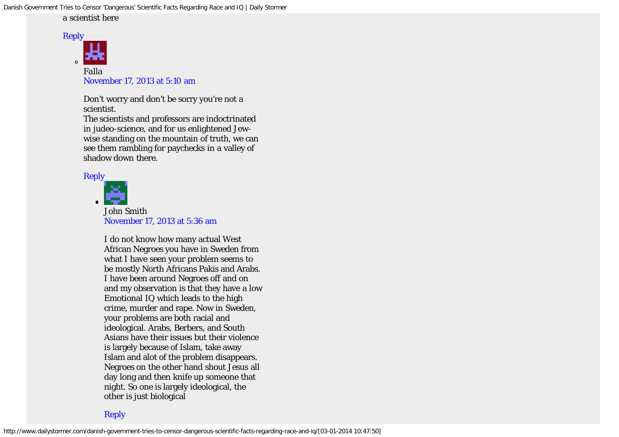#### a scientist here



Don't worry and don't be sorry you're not a scientist.

The scientists and professors are indoctrinated in judeo-science, and for us enlightened Jewwise standing on the mountain of truth, we can see them rambling for paychecks in a valley of shadow down there.

#### [Reply](http://www.dailystormer.com/danish-government-tries-to-censor-dangerous-scientific-facts-regarding-race-and-iq/?replytocom=50192#respond)



*John Smith* [November 17, 2013 at 5:36 am](http://www.dailystormer.com/danish-government-tries-to-censor-dangerous-scientific-facts-regarding-race-and-iq/comment-page-1/#comment-50212)

I do not know how many actual West African Negroes you have in Sweden from what I have seen your problem seems to be mostly North Africans Pakis and Arabs. I have been around Negroes off and on and my observation is that they have a low Emotional IQ which leads to the high crime, murder and rape. Now in Sweden, your problems are both racial and ideological. Arabs, Berbers, and South Asians have their issues but their violence is largely because of Islam, take away Islam and alot of the problem disappears. Negroes on the other hand shout Jesus all day long and then knife up someone that night. So one is largely ideological, the other is just biological

[Reply](http://www.dailystormer.com/danish-government-tries-to-censor-dangerous-scientific-facts-regarding-race-and-iq/?replytocom=50212#respond)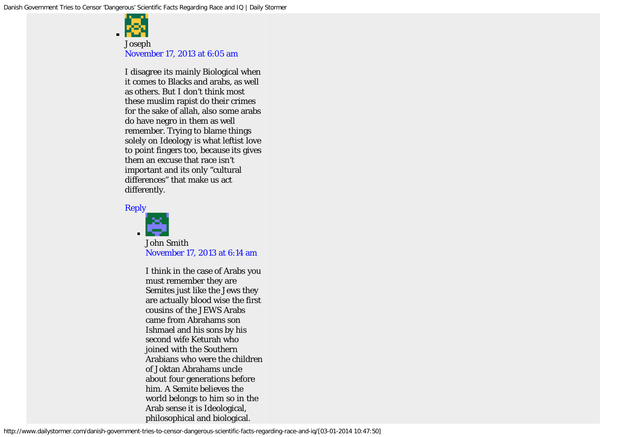

*Joseph* [November 17, 2013 at 6:05 am](http://www.dailystormer.com/danish-government-tries-to-censor-dangerous-scientific-facts-regarding-race-and-iq/comment-page-1/#comment-50243)

I disagree its mainly Biological when it comes to Blacks and arabs, as well as others. But I don't think most these muslim rapist do their crimes for the sake of allah, also some arabs do have negro in them as well remember. Trying to blame things solely on Ideology is what leftist love to point fingers too, because its gives them an excuse that race isn't important and its only "cultural differences" that make us act differently.

#### [Reply](http://www.dailystormer.com/danish-government-tries-to-censor-dangerous-scientific-facts-regarding-race-and-iq/?replytocom=50243#respond)



*John Smith* [November 17, 2013 at 6:14 am](http://www.dailystormer.com/danish-government-tries-to-censor-dangerous-scientific-facts-regarding-race-and-iq/comment-page-1/#comment-50253)

I think in the case of Arabs you must remember they are Semites just like the Jews they are actually blood wise the first cousins of the JEWS Arabs came from Abrahams son Ishmael and his sons by his second wife Keturah who joined with the Southern Arabians who were the children of Joktan Abrahams uncle about four generations before him. A Semite believes the world belongs to him so in the Arab sense it is Ideological, philosophical and biological.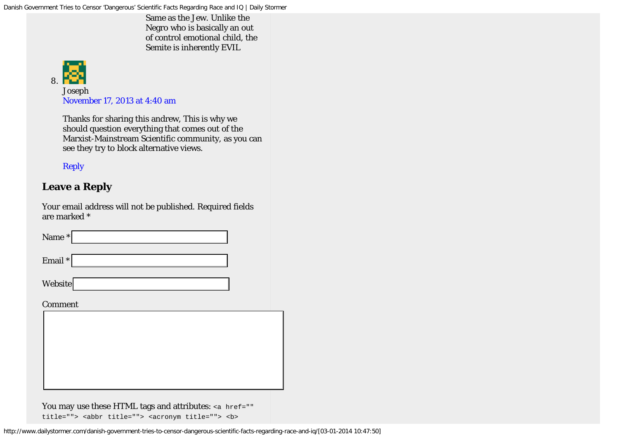Same as the Jew. Unlike the Negro who is basically an out of control emotional child, the Semite is inherently EVIL



*Joseph* [November 17, 2013 at 4:40 am](http://www.dailystormer.com/danish-government-tries-to-censor-dangerous-scientific-facts-regarding-race-and-iq/comment-page-1/#comment-50159)

Thanks for sharing this andrew, This is why we should question everything that comes out of the Marxist-Mainstream Scientific community, as you can see they try to block alternative views.

## [Reply](http://www.dailystormer.com/danish-government-tries-to-censor-dangerous-scientific-facts-regarding-race-and-iq/?replytocom=50159#respond)

## **Leave a Reply**

Your email address will not be published. Required fields are marked \*

| Name *         |  |  |
|----------------|--|--|
| Email *        |  |  |
| <b>Website</b> |  |  |
| Comment        |  |  |
|                |  |  |

## You may use these HTML tags and attributes: <a href=""

title=""> <abbr title=""> <acronym title=""> <b>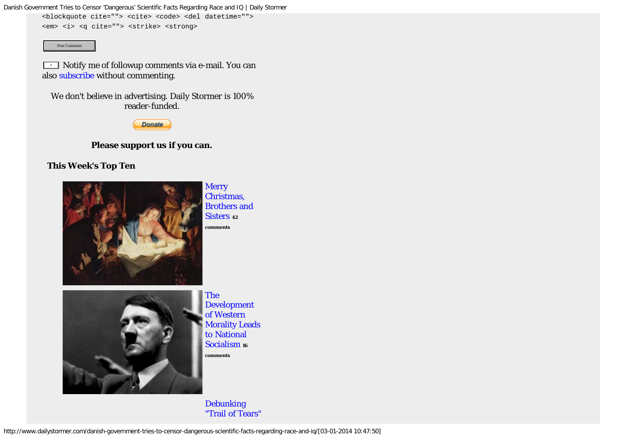<blockquote cite=""> <cite> <code> <del datetime="">

<em> <i> <q cite=""> <strike> <strong>

Post Comment

 $\textcolor{orange}{\textbf{1}}$  Notify me of followup comments via e-mail. You can also [subscribe](http://www.dailystormer.com/comment-subscriptions?srp=16146&sra=s) without commenting.

We don't believe in advertising. Daily Stormer is 100% reader-funded.



#### **Please support us if you can.**

#### **This Week's Top Ten**



**[Merry](http://www.dailystormer.com/merry-christmas-brothers-and-sisters/)** [Christmas,](http://www.dailystormer.com/merry-christmas-brothers-and-sisters/) [Brothers and](http://www.dailystormer.com/merry-christmas-brothers-and-sisters/) [Sisters](http://www.dailystormer.com/merry-christmas-brothers-and-sisters/) **<sup>42</sup> comments**



[The](http://www.dailystormer.com/the-development-of-western-morality-leads-to-national-socialism/) [Development](http://www.dailystormer.com/the-development-of-western-morality-leads-to-national-socialism/) [of Western](http://www.dailystormer.com/the-development-of-western-morality-leads-to-national-socialism/) [Morality Leads](http://www.dailystormer.com/the-development-of-western-morality-leads-to-national-socialism/) [to National](http://www.dailystormer.com/the-development-of-western-morality-leads-to-national-socialism/) [Socialism](http://www.dailystormer.com/the-development-of-western-morality-leads-to-national-socialism/) **<sup>16</sup> comments**

[Debunking](http://www.dailystormer.com/debunking-trail-of-tears-indian-genocide-mythology/) ["Trail of Tears"](http://www.dailystormer.com/debunking-trail-of-tears-indian-genocide-mythology/)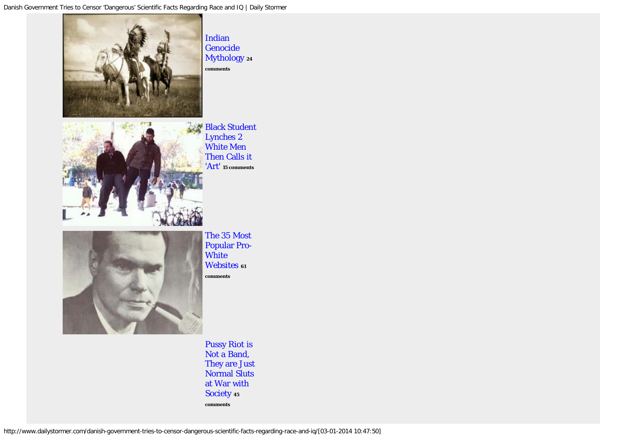

[Pussy Riot is](http://www.dailystormer.com/pussy-riot-is-not-a-band-they-are-just-normal-sluts-at-war-with-society/) [Not a Band,](http://www.dailystormer.com/pussy-riot-is-not-a-band-they-are-just-normal-sluts-at-war-with-society/) [They are Just](http://www.dailystormer.com/pussy-riot-is-not-a-band-they-are-just-normal-sluts-at-war-with-society/) [Normal Sluts](http://www.dailystormer.com/pussy-riot-is-not-a-band-they-are-just-normal-sluts-at-war-with-society/) [at War with](http://www.dailystormer.com/pussy-riot-is-not-a-band-they-are-just-normal-sluts-at-war-with-society/) [Society](http://www.dailystormer.com/pussy-riot-is-not-a-band-they-are-just-normal-sluts-at-war-with-society/) **<sup>45</sup> comments**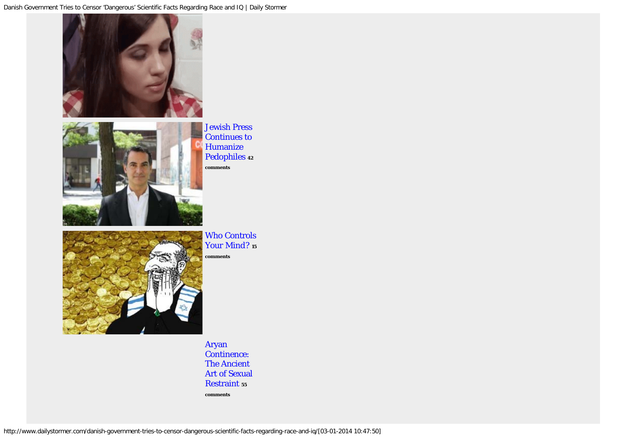



[Jewish Press](http://www.dailystormer.com/jewish-press-continues-to-humanize-pedophiles/) [Continues to](http://www.dailystormer.com/jewish-press-continues-to-humanize-pedophiles/) [Humanize](http://www.dailystormer.com/jewish-press-continues-to-humanize-pedophiles/) [Pedophiles](http://www.dailystormer.com/jewish-press-continues-to-humanize-pedophiles/) **<sup>42</sup> comments**



[Who Controls](http://www.dailystormer.com/who-controls-your-mind/) [Your Mind?](http://www.dailystormer.com/who-controls-your-mind/) **<sup>15</sup> comments**

[Aryan](http://www.dailystormer.com/aryan-continence-the-ancient-art-of-sexual-restraint/) [Continence:](http://www.dailystormer.com/aryan-continence-the-ancient-art-of-sexual-restraint/) [The Ancient](http://www.dailystormer.com/aryan-continence-the-ancient-art-of-sexual-restraint/) [Art of Sexual](http://www.dailystormer.com/aryan-continence-the-ancient-art-of-sexual-restraint/) [Restraint](http://www.dailystormer.com/aryan-continence-the-ancient-art-of-sexual-restraint/) **<sup>55</sup> comments**

http://www.dailystormer.com/danish-government-tries-to-censor-dangerous-scientific-facts-regarding-race-and-iq/[03-01-2014 10:47:50]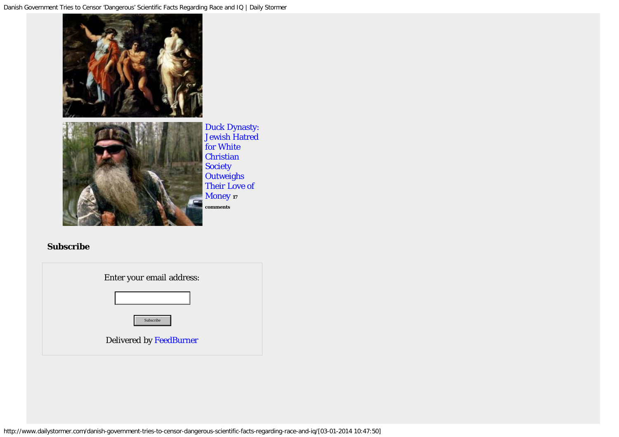

[Duck Dynasty:](http://www.dailystormer.com/duck-dynasty-jewish-hatred-for-white-christian-society-outweighs-their-love-of-money/) [Jewish Hatred](http://www.dailystormer.com/duck-dynasty-jewish-hatred-for-white-christian-society-outweighs-their-love-of-money/) [for White](http://www.dailystormer.com/duck-dynasty-jewish-hatred-for-white-christian-society-outweighs-their-love-of-money/) **[Christian](http://www.dailystormer.com/duck-dynasty-jewish-hatred-for-white-christian-society-outweighs-their-love-of-money/) [Society](http://www.dailystormer.com/duck-dynasty-jewish-hatred-for-white-christian-society-outweighs-their-love-of-money/) [Outweighs](http://www.dailystormer.com/duck-dynasty-jewish-hatred-for-white-christian-society-outweighs-their-love-of-money/)** [Their Love of](http://www.dailystormer.com/duck-dynasty-jewish-hatred-for-white-christian-society-outweighs-their-love-of-money/) [Money](http://www.dailystormer.com/duck-dynasty-jewish-hatred-for-white-christian-society-outweighs-their-love-of-money/) **<sup>17</sup> comments**

## **Subscribe**

| Enter your email address:      |  |
|--------------------------------|--|
|                                |  |
| Subscribe                      |  |
| <b>Delivered by FeedBurner</b> |  |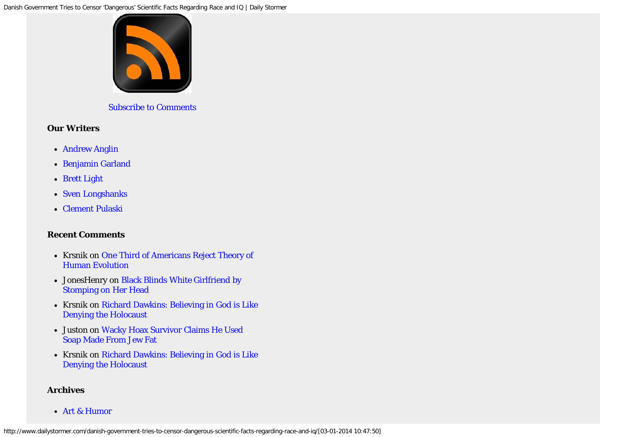

[Subscribe to Comments](http://www.dailystormer.com/comments/feed/)

### **Our Writers**

- [Andrew Anglin](http://www.dailystormer.com/tag/andrew-anglin/)
- [Benjamin Garland](http://www.dailystormer.com/tag/Benjamin-Garland/)
- [Brett Light](http://www.dailystormer.com/tag/brett-light/)
- [Sven Longshanks](http://www.dailystormer.com/tag/sven-longshanks/)
- [Clement Pulaski](http://www.dailystormer.com/tag/clement-pulaski/)

## **Recent Comments**

- Krsnik on [One Third of Americans Reject Theory of](http://www.dailystormer.com/one-third-of-americans-reject-theory-of-human-evolution/comment-page-1/#comment-89862) [Human Evolution](http://www.dailystormer.com/one-third-of-americans-reject-theory-of-human-evolution/comment-page-1/#comment-89862)
- JonesHenry on [Black Blinds White Girlfriend by](http://www.dailystormer.com/black-blinds-white-girlfriend-by-stomping-on-her-head/comment-page-1/#comment-89861) [Stomping on Her Head](http://www.dailystormer.com/black-blinds-white-girlfriend-by-stomping-on-her-head/comment-page-1/#comment-89861)
- Krsnik on [Richard Dawkins: Believing in God is Like](http://www.dailystormer.com/richard-dawkins-believing-in-god-is-like-denying-the-holocaust/comment-page-1/#comment-89859) [Denying the Holocaust](http://www.dailystormer.com/richard-dawkins-believing-in-god-is-like-denying-the-holocaust/comment-page-1/#comment-89859)
- Juston on [Wacky Hoax Survivor Claims He Used](http://www.dailystormer.com/wacky-hoax-survivor-claims-he-used-soap-made-from-jew-fat/comment-page-1/#comment-89858) [Soap Made From Jew Fat](http://www.dailystormer.com/wacky-hoax-survivor-claims-he-used-soap-made-from-jew-fat/comment-page-1/#comment-89858)
- Krsnik on [Richard Dawkins: Believing in God is Like](http://www.dailystormer.com/richard-dawkins-believing-in-god-is-like-denying-the-holocaust/comment-page-1/#comment-89857) [Denying the Holocaust](http://www.dailystormer.com/richard-dawkins-believing-in-god-is-like-denying-the-holocaust/comment-page-1/#comment-89857)

### **Archives**

[Art & Humor](http://www.dailystormer.com/section/art-humor/)